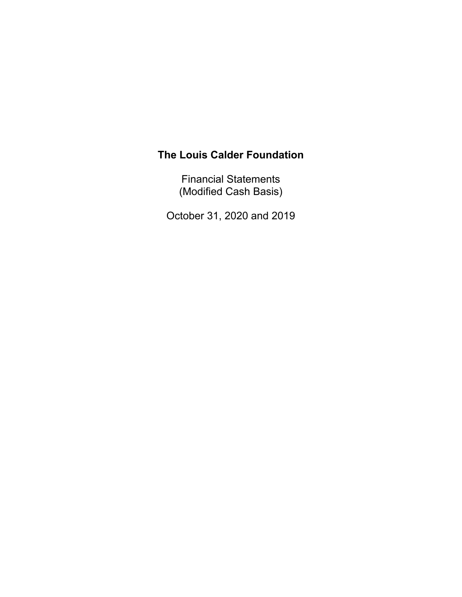Financial Statements (Modified Cash Basis)

October 31, 2020 and 2019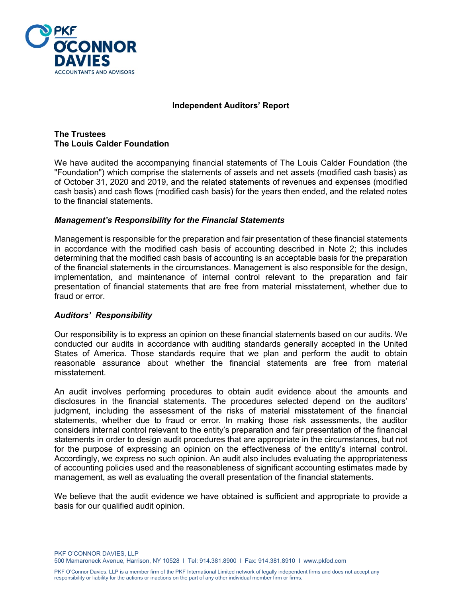

#### **Independent Auditors' Report**

#### **The Trustees The Louis Calder Foundation**

We have audited the accompanying financial statements of The Louis Calder Foundation (the "Foundation") which comprise the statements of assets and net assets (modified cash basis) as of October 31, 2020 and 2019, and the related statements of revenues and expenses (modified cash basis) and cash flows (modified cash basis) for the years then ended, and the related notes to the financial statements.

## *Management's Responsibility for the Financial Statements*

Management is responsible for the preparation and fair presentation of these financial statements in accordance with the modified cash basis of accounting described in Note 2; this includes determining that the modified cash basis of accounting is an acceptable basis for the preparation of the financial statements in the circumstances. Management is also responsible for the design, implementation, and maintenance of internal control relevant to the preparation and fair presentation of financial statements that are free from material misstatement, whether due to fraud or error.

## *Auditors' Responsibility*

Our responsibility is to express an opinion on these financial statements based on our audits. We conducted our audits in accordance with auditing standards generally accepted in the United States of America. Those standards require that we plan and perform the audit to obtain reasonable assurance about whether the financial statements are free from material misstatement.

An audit involves performing procedures to obtain audit evidence about the amounts and disclosures in the financial statements. The procedures selected depend on the auditors' judgment, including the assessment of the risks of material misstatement of the financial statements, whether due to fraud or error. In making those risk assessments, the auditor considers internal control relevant to the entity's preparation and fair presentation of the financial statements in order to design audit procedures that are appropriate in the circumstances, but not for the purpose of expressing an opinion on the effectiveness of the entity's internal control. Accordingly, we express no such opinion. An audit also includes evaluating the appropriateness of accounting policies used and the reasonableness of significant accounting estimates made by management, as well as evaluating the overall presentation of the financial statements.

We believe that the audit evidence we have obtained is sufficient and appropriate to provide a basis for our qualified audit opinion.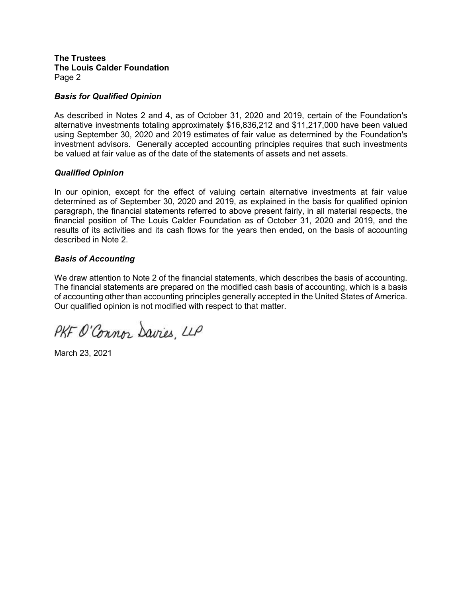**The Trustees The Louis Calder Foundation** Page 2

#### *Basis for Qualified Opinion*

As described in Notes 2 and 4, as of October 31, 2020 and 2019, certain of the Foundation's alternative investments totaling approximately \$16,836,212 and \$11,217,000 have been valued using September 30, 2020 and 2019 estimates of fair value as determined by the Foundation's investment advisors. Generally accepted accounting principles requires that such investments be valued at fair value as of the date of the statements of assets and net assets.

#### *Qualified Opinion*

In our opinion, except for the effect of valuing certain alternative investments at fair value determined as of September 30, 2020 and 2019, as explained in the basis for qualified opinion paragraph, the financial statements referred to above present fairly, in all material respects, the financial position of The Louis Calder Foundation as of October 31, 2020 and 2019, and the results of its activities and its cash flows for the years then ended, on the basis of accounting described in Note 2.

#### *Basis of Accounting*

We draw attention to Note 2 of the financial statements, which describes the basis of accounting. The financial statements are prepared on the modified cash basis of accounting, which is a basis of accounting other than accounting principles generally accepted in the United States of America. Our qualified opinion is not modified with respect to that matter.

PKF O'Connor Davies LLP

March 23, 2021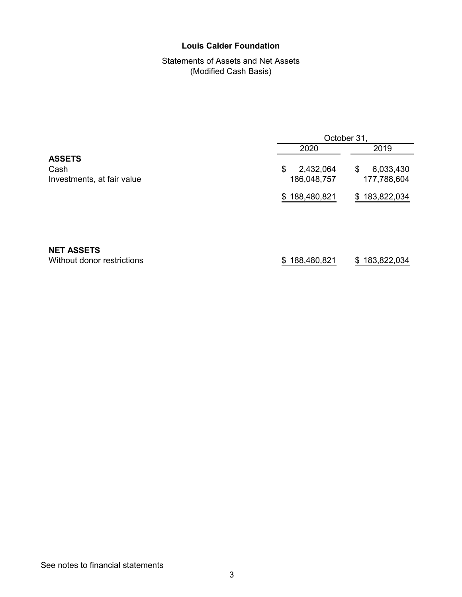## Statements of Assets and Net Assets (Modified Cash Basis)

|                                                     | October 31,                    |                                |  |  |
|-----------------------------------------------------|--------------------------------|--------------------------------|--|--|
|                                                     | 2020                           | 2019                           |  |  |
| <b>ASSETS</b><br>Cash<br>Investments, at fair value | \$<br>2,432,064<br>186,048,757 | \$<br>6,033,430<br>177,788,604 |  |  |
|                                                     | 188,480,821<br>\$              | 183,822,034<br>\$              |  |  |
|                                                     |                                |                                |  |  |
| <b>NET ASSETS</b><br>Without donor restrictions     | 188,480,821<br>S               | 183,822,034<br>S               |  |  |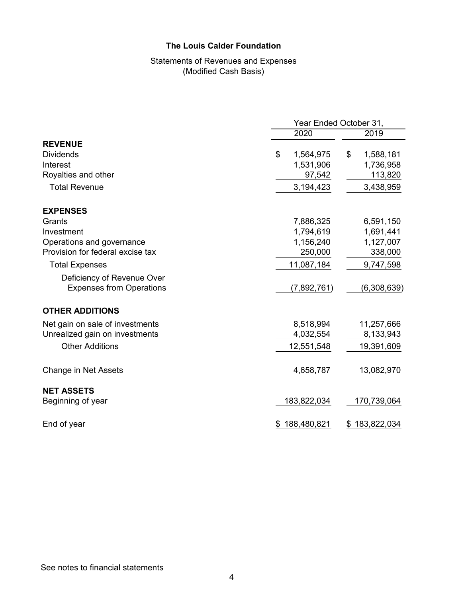# Statements of Revenues and Expenses (Modified Cash Basis)

|                                  | Year Ended October 31, |                 |  |  |
|----------------------------------|------------------------|-----------------|--|--|
|                                  | 2020                   | 2019            |  |  |
| <b>REVENUE</b>                   |                        |                 |  |  |
| <b>Dividends</b>                 | \$<br>1,564,975        | \$<br>1,588,181 |  |  |
| Interest                         | 1,531,906              | 1,736,958       |  |  |
| Royalties and other              | 97,542                 | 113,820         |  |  |
| <b>Total Revenue</b>             | 3,194,423              | 3,438,959       |  |  |
| <b>EXPENSES</b>                  |                        |                 |  |  |
| Grants                           | 7,886,325              | 6,591,150       |  |  |
| Investment                       | 1,794,619              | 1,691,441       |  |  |
| Operations and governance        | 1,156,240              | 1,127,007       |  |  |
| Provision for federal excise tax | 250,000                | 338,000         |  |  |
| <b>Total Expenses</b>            | 11,087,184             | 9,747,598       |  |  |
| Deficiency of Revenue Over       |                        |                 |  |  |
| <b>Expenses from Operations</b>  | (7,892,761)            | (6,308,639)     |  |  |
| <b>OTHER ADDITIONS</b>           |                        |                 |  |  |
| Net gain on sale of investments  | 8,518,994              | 11,257,666      |  |  |
| Unrealized gain on investments   | 4,032,554              | 8,133,943       |  |  |
| <b>Other Additions</b>           | 12,551,548             | 19,391,609      |  |  |
| Change in Net Assets             | 4,658,787              | 13,082,970      |  |  |
| <b>NET ASSETS</b>                |                        |                 |  |  |
| Beginning of year                | 183,822,034            | 170,739,064     |  |  |
| End of year                      | 188,480,821<br>\$      | \$183,822,034   |  |  |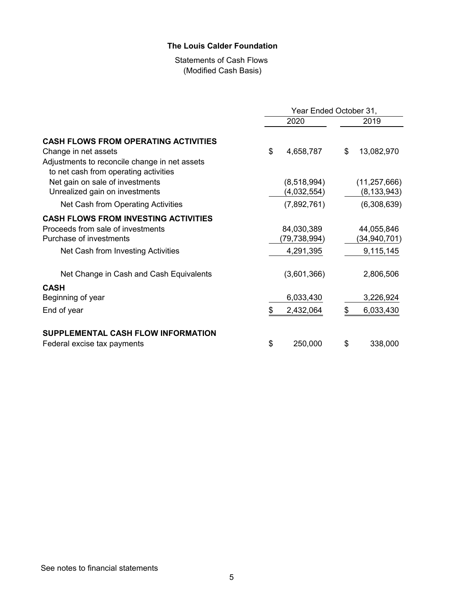## Statements of Cash Flows (Modified Cash Basis)

|                                                                                                                | Year Ended October 31, |                            |    |                                 |
|----------------------------------------------------------------------------------------------------------------|------------------------|----------------------------|----|---------------------------------|
|                                                                                                                |                        | 2020                       |    | 2019                            |
| <b>CASH FLOWS FROM OPERATING ACTIVITIES</b>                                                                    |                        |                            |    |                                 |
| Change in net assets<br>Adjustments to reconcile change in net assets<br>to net cash from operating activities | \$                     | 4,658,787                  | \$ | 13,082,970                      |
| Net gain on sale of investments<br>Unrealized gain on investments                                              |                        | (8,518,994)<br>(4,032,554) |    | (11, 257, 666)<br>(8, 133, 943) |
| Net Cash from Operating Activities                                                                             |                        | (7,892,761)                |    | (6,308,639)                     |
| <b>CASH FLOWS FROM INVESTING ACTIVITIES</b><br>Proceeds from sale of investments<br>Purchase of investments    |                        | 84,030,389<br>(79,738,994) |    | 44,055,846<br>(34,940,701)      |
| Net Cash from Investing Activities                                                                             |                        | 4,291,395                  |    | 9,115,145                       |
| Net Change in Cash and Cash Equivalents                                                                        |                        | (3,601,366)                |    | 2,806,506                       |
| <b>CASH</b><br>Beginning of year                                                                               |                        | 6,033,430                  |    | 3,226,924                       |
| End of year                                                                                                    | S                      | 2,432,064                  | \$ | 6,033,430                       |
| SUPPLEMENTAL CASH FLOW INFORMATION<br>Federal excise tax payments                                              | \$                     | 250,000                    | \$ | 338,000                         |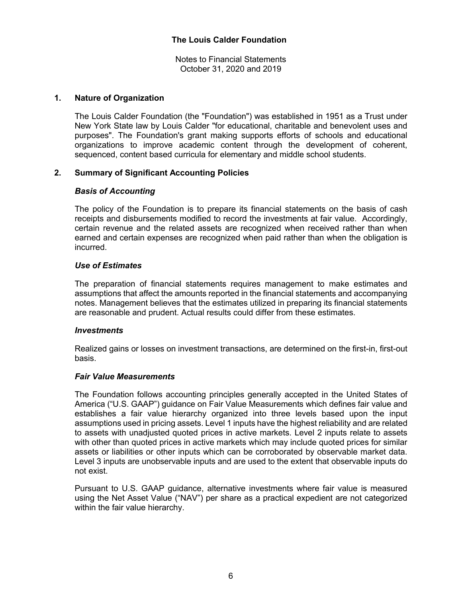## **1. Nature of Organization**

The Louis Calder Foundation (the "Foundation") was established in 1951 as a Trust under New York State law by Louis Calder "for educational, charitable and benevolent uses and purposes". The Foundation's grant making supports efforts of schools and educational organizations to improve academic content through the development of coherent, sequenced, content based curricula for elementary and middle school students.

## **2. Summary of Significant Accounting Policies**

# *Basis of Accounting*

The policy of the Foundation is to prepare its financial statements on the basis of cash receipts and disbursements modified to record the investments at fair value. Accordingly, certain revenue and the related assets are recognized when received rather than when earned and certain expenses are recognized when paid rather than when the obligation is incurred.

# *Use of Estimates*

The preparation of financial statements requires management to make estimates and assumptions that affect the amounts reported in the financial statements and accompanying notes. Management believes that the estimates utilized in preparing its financial statements are reasonable and prudent. Actual results could differ from these estimates.

## *Investments*

Realized gains or losses on investment transactions, are determined on the first-in, first-out basis.

## *Fair Value Measurements*

The Foundation follows accounting principles generally accepted in the United States of America ("U.S. GAAP") guidance on Fair Value Measurements which defines fair value and establishes a fair value hierarchy organized into three levels based upon the input assumptions used in pricing assets. Level 1 inputs have the highest reliability and are related to assets with unadjusted quoted prices in active markets. Level 2 inputs relate to assets with other than quoted prices in active markets which may include quoted prices for similar assets or liabilities or other inputs which can be corroborated by observable market data. Level 3 inputs are unobservable inputs and are used to the extent that observable inputs do not exist.

Pursuant to U.S. GAAP guidance, alternative investments where fair value is measured using the Net Asset Value ("NAV") per share as a practical expedient are not categorized within the fair value hierarchy.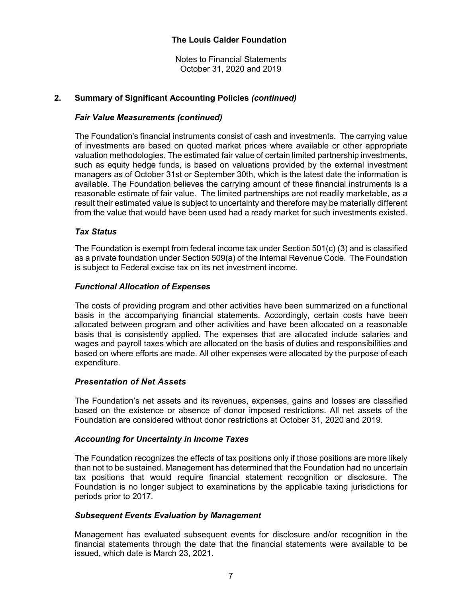# **2. Summary of Significant Accounting Policies** *(continued)*

## *Fair Value Measurements (continued)*

The Foundation's financial instruments consist of cash and investments. The carrying value of investments are based on quoted market prices where available or other appropriate valuation methodologies. The estimated fair value of certain limited partnership investments, such as equity hedge funds, is based on valuations provided by the external investment managers as of October 31st or September 30th, which is the latest date the information is available. The Foundation believes the carrying amount of these financial instruments is a reasonable estimate of fair value. The limited partnerships are not readily marketable, as a result their estimated value is subject to uncertainty and therefore may be materially different from the value that would have been used had a ready market for such investments existed.

## *Tax Status*

The Foundation is exempt from federal income tax under Section 501(c) (3) and is classified as a private foundation under Section 509(a) of the Internal Revenue Code. The Foundation is subject to Federal excise tax on its net investment income.

## *Functional Allocation of Expenses*

The costs of providing program and other activities have been summarized on a functional basis in the accompanying financial statements. Accordingly, certain costs have been allocated between program and other activities and have been allocated on a reasonable basis that is consistently applied. The expenses that are allocated include salaries and wages and payroll taxes which are allocated on the basis of duties and responsibilities and based on where efforts are made. All other expenses were allocated by the purpose of each expenditure.

## *Presentation of Net Assets*

The Foundation's net assets and its revenues, expenses, gains and losses are classified based on the existence or absence of donor imposed restrictions. All net assets of the Foundation are considered without donor restrictions at October 31, 2020 and 2019.

## *Accounting for Uncertainty in Income Taxes*

The Foundation recognizes the effects of tax positions only if those positions are more likely than not to be sustained. Management has determined that the Foundation had no uncertain tax positions that would require financial statement recognition or disclosure. The Foundation is no longer subject to examinations by the applicable taxing jurisdictions for periods prior to 2017.

## *Subsequent Events Evaluation by Management*

Management has evaluated subsequent events for disclosure and/or recognition in the financial statements through the date that the financial statements were available to be issued, which date is March 23, 2021.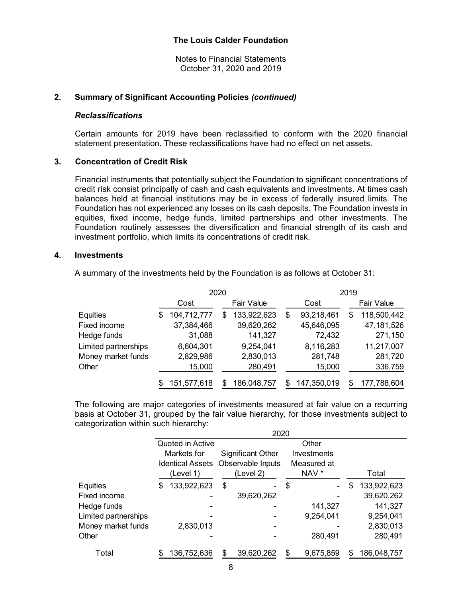Notes to Financial Statements October 31, 2020 and 2019

#### **2. Summary of Significant Accounting Policies** *(continued)*

#### *Reclassifications*

Certain amounts for 2019 have been reclassified to conform with the 2020 financial statement presentation. These reclassifications have had no effect on net assets.

#### **3. Concentration of Credit Risk**

Financial instruments that potentially subject the Foundation to significant concentrations of credit risk consist principally of cash and cash equivalents and investments. At times cash balances held at financial institutions may be in excess of federally insured limits. The Foundation has not experienced any losses on its cash deposits. The Foundation invests in equities, fixed income, hedge funds, limited partnerships and other investments. The Foundation routinely assesses the diversification and financial strength of its cash and investment portfolio, which limits its concentrations of credit risk.

#### **4. Investments**

A summary of the investments held by the Foundation is as follows at October 31:

|                      | 2020 |             |    | 2019              |     |             |     |                   |
|----------------------|------|-------------|----|-------------------|-----|-------------|-----|-------------------|
|                      |      | Cost        |    | <b>Fair Value</b> |     | Cost        |     | <b>Fair Value</b> |
| Equities             | S    | 104,712,777 | \$ | 133,922,623       | \$  | 93,218,461  | S   | 118,500,442       |
| Fixed income         |      | 37,384,466  |    | 39,620,262        |     | 45,646,095  |     | 47,181,526        |
| Hedge funds          |      | 31,088      |    | 141,327           |     | 72,432      |     | 271,150           |
| Limited partnerships |      | 6,604,301   |    | 9,254,041         |     | 8,116,283   |     | 11,217,007        |
| Money market funds   |      | 2,829,986   |    | 2,830,013         |     | 281,748     |     | 281,720           |
| Other                |      | 15,000      |    | 280,491           |     | 15,000      |     | 336,759           |
|                      |      | 151,577,618 | \$ | 186,048,757       | \$. | 147,350,019 | \$. | 177,788,604       |

The following are major categories of investments measured at fair value on a recurring basis at October 31, grouped by the fair value hierarchy, for those investments subject to categorization within such hierarchy:  $2020$ 

|                      |                         | 2020                     |                  |    |             |
|----------------------|-------------------------|--------------------------|------------------|----|-------------|
|                      | Quoted in Active        |                          | Other            |    |             |
|                      | Markets for             | <b>Significant Other</b> | Investments      |    |             |
|                      | <b>Identical Assets</b> | Observable Inputs        | Measured at      |    |             |
|                      | (Level 1)               | (Level 2)                | NAV <sup>*</sup> |    | Total       |
| Equities             | \$<br>133,922,623       | \$                       | \$               | \$ | 133,922,623 |
| Fixed income         |                         | 39,620,262               |                  |    | 39,620,262  |
| Hedge funds          |                         |                          | 141,327          |    | 141,327     |
| Limited partnerships |                         |                          | 9,254,041        |    | 9,254,041   |
| Money market funds   | 2,830,013               |                          |                  |    | 2,830,013   |
| Other                |                         |                          | 280,491          |    | 280,491     |
| Total                | 136,752,636             | 39,620,262               | 9,675,859        | S  | 186,048,757 |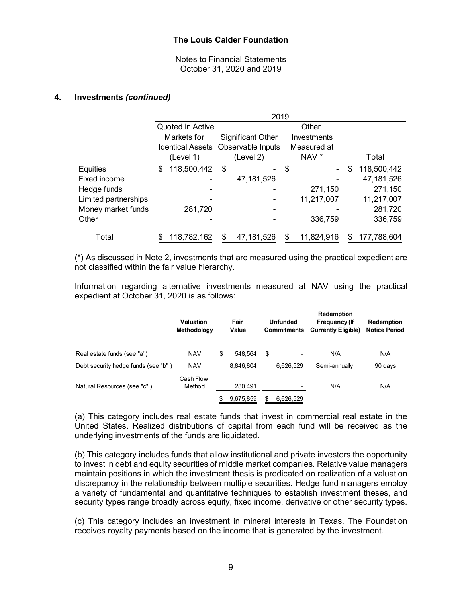## **4. Investments** *(continued)*

|                      | 2019             |             |                                    |                          |    |                  |   |             |
|----------------------|------------------|-------------|------------------------------------|--------------------------|----|------------------|---|-------------|
|                      | Quoted in Active |             |                                    |                          |    |                  |   |             |
|                      |                  | Markets for |                                    | <b>Significant Other</b> |    | Investments      |   |             |
|                      |                  |             | Identical Assets Observable Inputs |                          |    | Measured at      |   |             |
|                      |                  | (Level 1)   |                                    | (Level 2)                |    | NAV <sup>*</sup> |   | Total       |
| Equities             | \$               | 118,500,442 | \$                                 |                          | \$ |                  | S | 118,500,442 |
| Fixed income         |                  |             |                                    | 47,181,526               |    |                  |   | 47,181,526  |
| Hedge funds          |                  |             |                                    |                          |    | 271,150          |   | 271,150     |
| Limited partnerships |                  |             |                                    |                          |    | 11,217,007       |   | 11,217,007  |
| Money market funds   |                  | 281,720     |                                    |                          |    |                  |   | 281,720     |
| Other                |                  |             |                                    |                          |    | 336,759          |   | 336,759     |
| Total                |                  | 118,782,162 |                                    | 47,181,526               | \$ | 11,824,916       | S | 177,788,604 |

(\*) As discussed in Note 2, investments that are measured using the practical expedient are not classified within the fair value hierarchy.

Information regarding alternative investments measured at NAV using the practical expedient at October 31, 2020 is as follows:

|                                     | <b>Valuation</b><br>Methodology | Fair<br>Value   | <b>Unfunded</b><br><b>Commitments</b> | <b>Redemption</b><br>Frequency (If<br><b>Currently Eligible)</b> | <b>Redemption</b><br><b>Notice Period</b> |
|-------------------------------------|---------------------------------|-----------------|---------------------------------------|------------------------------------------------------------------|-------------------------------------------|
| Real estate funds (see "a")         | <b>NAV</b>                      | \$<br>548.564   | \$<br>$\overline{\phantom{a}}$        | N/A                                                              | N/A                                       |
| Debt security hedge funds (see "b") | <b>NAV</b>                      | 8.846.804       | 6.626.529                             | Semi-annually                                                    | 90 days                                   |
| Natural Resources (see "c")         | Cash Flow<br>Method             | 280.491         | $\overline{\phantom{0}}$              | N/A                                                              | N/A                                       |
|                                     |                                 | \$<br>9,675,859 | 6,626,529                             |                                                                  |                                           |

(a) This category includes real estate funds that invest in commercial real estate in the United States. Realized distributions of capital from each fund will be received as the underlying investments of the funds are liquidated.

(b) This category includes funds that allow institutional and private investors the opportunity to invest in debt and equity securities of middle market companies. Relative value managers maintain positions in which the investment thesis is predicated on realization of a valuation discrepancy in the relationship between multiple securities. Hedge fund managers employ a variety of fundamental and quantitative techniques to establish investment theses, and security types range broadly across equity, fixed income, derivative or other security types.

(c) This category includes an investment in mineral interests in Texas. The Foundation receives royalty payments based on the income that is generated by the investment.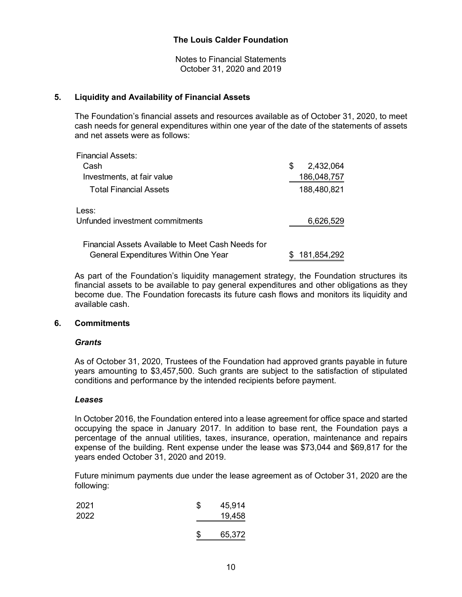## **5. Liquidity and Availability of Financial Assets**

The Foundation's financial assets and resources available as of October 31, 2020, to meet cash needs for general expenditures within one year of the date of the statements of assets and net assets were as follows:

| Financial Assets:                                 |   |               |
|---------------------------------------------------|---|---------------|
| Cash                                              | S | 2,432,064     |
| Investments, at fair value                        |   | 186,048,757   |
| Total Financial Assets                            |   | 188,480,821   |
| Less:                                             |   |               |
| Unfunded investment commitments                   |   | 6,626,529     |
| Financial Assets Available to Meet Cash Needs for |   |               |
| General Expenditures Within One Year              |   | \$181,854,292 |

As part of the Foundation's liquidity management strategy, the Foundation structures its financial assets to be available to pay general expenditures and other obligations as they become due. The Foundation forecasts its future cash flows and monitors its liquidity and available cash.

## **6. Commitments**

## *Grants*

As of October 31, 2020, Trustees of the Foundation had approved grants payable in future years amounting to \$3,457,500. Such grants are subject to the satisfaction of stipulated conditions and performance by the intended recipients before payment.

#### *Leases*

In October 2016, the Foundation entered into a lease agreement for office space and started occupying the space in January 2017. In addition to base rent, the Foundation pays a percentage of the annual utilities, taxes, insurance, operation, maintenance and repairs expense of the building. Rent expense under the lease was \$73,044 and \$69,817 for the years ended October 31, 2020 and 2019.

Future minimum payments due under the lease agreement as of October 31, 2020 are the following:

| 2021<br>2022 | 45,914<br>19,458 |
|--------------|------------------|
|              | 65,372           |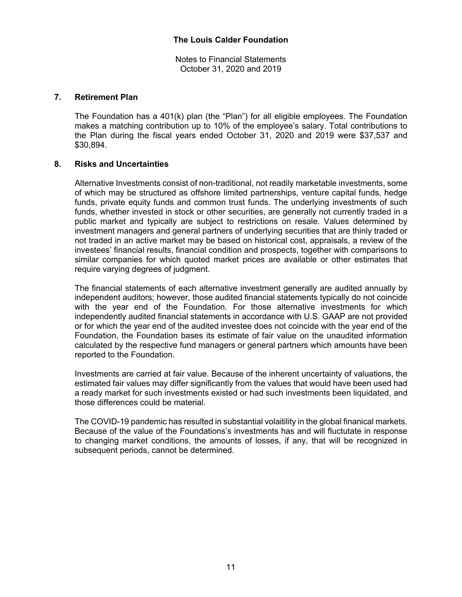## **7. Retirement Plan**

The Foundation has a 401(k) plan (the "Plan") for all eligible employees. The Foundation makes a matching contribution up to 10% of the employee's salary. Total contributions to the Plan during the fiscal years ended October 31, 2020 and 2019 were \$37,537 and \$30,894.

## **8. Risks and Uncertainties**

Alternative Investments consist of non-traditional, not readily marketable investments, some of which may be structured as offshore limited partnerships, venture capital funds, hedge funds, private equity funds and common trust funds. The underlying investments of such funds, whether invested in stock or other securities, are generally not currently traded in a public market and typically are subject to restrictions on resale. Values determined by investment managers and general partners of underlying securities that are thinly traded or not traded in an active market may be based on historical cost, appraisals, a review of the investees' financial results, financial condition and prospects, together with comparisons to similar companies for which quoted market prices are available or other estimates that require varying degrees of judgment.

The financial statements of each alternative investment generally are audited annually by independent auditors; however, those audited financial statements typically do not coincide with the year end of the Foundation. For those alternative investments for which independently audited financial statements in accordance with U.S. GAAP are not provided or for which the year end of the audited investee does not coincide with the year end of the Foundation, the Foundation bases its estimate of fair value on the unaudited information calculated by the respective fund managers or general partners which amounts have been reported to the Foundation.

Investments are carried at fair value. Because of the inherent uncertainty of valuations, the estimated fair values may differ significantly from the values that would have been used had a ready market for such investments existed or had such investments been liquidated, and those differences could be material.

The COVID-19 pandemic has resulted in substantial volaitility in the global finanical markets. Because of the value of the Foundations's investments has and will fluctutate in response to changing market conditions, the amounts of losses, if any, that will be recognized in subsequent periods, cannot be determined.